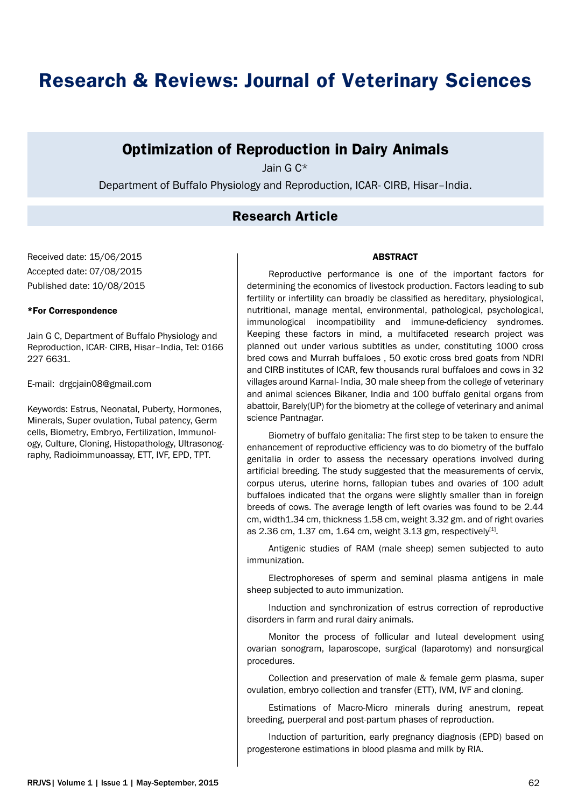# **Research & Reviews: Journal of Veterinary Sciences**

# **Optimization of Reproduction in Dairy Animals**

Jain G C\*

Department of Buffalo Physiology and Reproduction, ICAR- CIRB, Hisar–India.

# **Research Article**

Received date: 15/06/2015 Accepted date: 07/08/2015 Published date: 10/08/2015

#### \*For Correspondence

Jain G C, Department of Buffalo Physiology and Reproduction, ICAR- CIRB, Hisar–India, Tel: 0166 227 6631.

E-mail: drgcjain08@gmail.com

Keywords: Estrus, Neonatal, Puberty, Hormones, Minerals, Super ovulation, Tubal patency, Germ cells, Biometry, Embryo, Fertilization, Immunology, Culture, Cloning, Histopathology, Ultrasonography, Radioimmunoassay, ETT, IVF, EPD, TPT.

#### ABSTRACT

Reproductive performance is one of the important factors for determining the economics of livestock production. Factors leading to sub fertility or infertility can broadly be classified as hereditary, physiological, nutritional, manage mental, environmental, pathological, psychological, immunological incompatibility and immune-deficiency syndromes. Keeping these factors in mind, a multifaceted research project was planned out under various subtitles as under, constituting 1000 cross bred cows and Murrah buffaloes , 50 exotic cross bred goats from NDRI and CIRB institutes of ICAR, few thousands rural buffaloes and cows in 32 villages around Karnal- India, 30 male sheep from the college of veterinary and animal sciences Bikaner, India and 100 buffalo genital organs from abattoir, Barely(UP) for the biometry at the college of veterinary and animal science Pantnagar.

Biometry of buffalo genitalia: The first step to be taken to ensure the enhancement of reproductive efficiency was to do biometry of the buffalo genitalia in order to assess the necessary operations involved during artificial breeding. The study suggested that the measurements of cervix, corpus uterus, uterine horns, fallopian tubes and ovaries of 100 adult buffaloes indicated that the organs were slightly smaller than in foreign breeds of cows. The average length of left ovaries was found to be 2.44 cm, width1.34 cm, thickness 1.58 cm, weight 3.32 gm. and of right ovaries as 2.36 cm, 1.37 cm, 1.64 cm, weight 3.13 gm, respectively<sup>[1]</sup>.

Antigenic studies of RAM (male sheep) semen subjected to auto immunization.

Electrophoreses of sperm and seminal plasma antigens in male sheep subjected to auto immunization.

Induction and synchronization of estrus correction of reproductive disorders in farm and rural dairy animals.

Monitor the process of follicular and luteal development using ovarian sonogram, laparoscope, surgical (laparotomy) and nonsurgical procedures.

Collection and preservation of male & female germ plasma, super ovulation, embryo collection and transfer (ETT), IVM, IVF and cloning.

Estimations of Macro-Micro minerals during anestrum, repeat breeding, puerperal and post-partum phases of reproduction.

Induction of parturition, early pregnancy diagnosis (EPD) based on progesterone estimations in blood plasma and milk by RIA.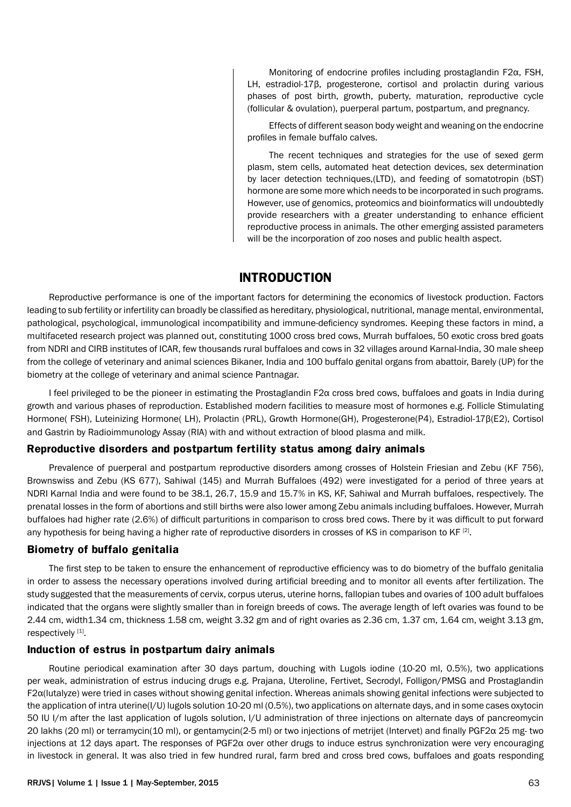Monitoring of endocrine profiles including prostaglandin F2α, FSH, LH, estradiol-17β, progesterone, cortisol and prolactin during various phases of post birth, growth, puberty, maturation, reproductive cycle (follicular & ovulation), puerperal partum, postpartum, and pregnancy.

Effects of different season body weight and weaning on the endocrine profiles in female buffalo calves.

The recent techniques and strategies for the use of sexed germ plasm, stem cells, automated heat detection devices, sex determination by lacer detection techniques,(LTD), and feeding of somatotropin (bST) hormone are some more which needs to be incorporated in such programs. However, use of genomics, proteomics and bioinformatics will undoubtedly provide researchers with a greater understanding to enhance efficient reproductive process in animals. The other emerging assisted parameters will be the incorporation of zoo noses and public health aspect.

# **INTRODUCTION**

Reproductive performance is one of the important factors for determining the economics of livestock production. Factors leading to sub fertility or infertility can broadly be classified as hereditary, physiological, nutritional, manage mental, environmental, pathological, psychological, immunological incompatibility and immune-deficiency syndromes. Keeping these factors in mind, a multifaceted research project was planned out, constituting 1000 cross bred cows, Murrah buffaloes, 50 exotic cross bred goats from NDRI and CIRB institutes of ICAR, few thousands rural buffaloes and cows in 32 villages around Karnal-India, 30 male sheep from the college of veterinary and animal sciences Bikaner, India and 100 buffalo genital organs from abattoir, Barely (UP) for the biometry at the college of veterinary and animal science Pantnagar.

I feel privileged to be the pioneer in estimating the Prostaglandin F2α cross bred cows, buffaloes and goats in India during growth and various phases of reproduction. Established modern facilities to measure most of hormones e.g. Follicle Stimulating Hormone( FSH), Luteinizing Hormone( LH), Prolactin (PRL), Growth Hormone(GH), Progesterone(P4), Estradiol-17β(E2), Cortisol and Gastrin by Radioimmunology Assay (RIA) with and without extraction of blood plasma and milk.

#### **Reproductive disorders and postpartum fertility status among dairy animals**

Prevalence of puerperal and postpartum reproductive disorders among crosses of Holstein Friesian and Zebu (KF 756), Brownswiss and Zebu (KS 677), Sahiwal (145) and Murrah Buffaloes (492) were investigated for a period of three years at NDRI Karnal India and were found to be 38.1, 26.7, 15.9 and 15.7% in KS, KF, Sahiwal and Murrah buffaloes, respectively. The prenatal losses in the form of abortions and still births were also lower among Zebu animals including buffaloes. However, Murrah buffaloes had higher rate (2.6%) of difficult parturitions in comparison to cross bred cows. There by it was difficult to put forward any hypothesis for being having a higher rate of reproductive disorders in crosses of KS in comparison to KF<sup>[2]</sup>.

#### **Biometry of buffalo genitalia**

The first step to be taken to ensure the enhancement of reproductive efficiency was to do biometry of the buffalo genitalia in order to assess the necessary operations involved during artificial breeding and to monitor all events after fertilization. The study suggested that the measurements of cervix, corpus uterus, uterine horns, fallopian tubes and ovaries of 100 adult buffaloes indicated that the organs were slightly smaller than in foreign breeds of cows. The average length of left ovaries was found to be 2.44 cm, width1.34 cm, thickness 1.58 cm, weight 3.32 gm and of right ovaries as 2.36 cm, 1.37 cm, 1.64 cm, weight 3.13 gm, respectively [1].

#### **Induction of estrus in postpartum dairy animals**

Routine periodical examination after 30 days partum, douching with Lugols iodine (10-20 ml, 0.5%), two applications per weak, administration of estrus inducing drugs e.g. Prajana, Uteroline, Fertivet, Secrodyl, Folligon/PMSG and Prostaglandin F2α(lutalyze) were tried in cases without showing genital infection. Whereas animals showing genital infections were subjected to the application of intra uterine(I/U) lugols solution 10-20 ml (0.5%), two applications on alternate days, and in some cases oxytocin 50 IU I/m after the last application of lugols solution, I/U administration of three injections on alternate days of pancreomycin 20 lakhs (20 ml) or terramycin(10 ml), or gentamycin(2-5 ml) or two injections of metrijet (Intervet) and finally PGF2α 25 mg- two injections at 12 days apart. The responses of PGF2α over other drugs to induce estrus synchronization were very encouraging in livestock in general. It was also tried in few hundred rural, farm bred and cross bred cows, buffaloes and goats responding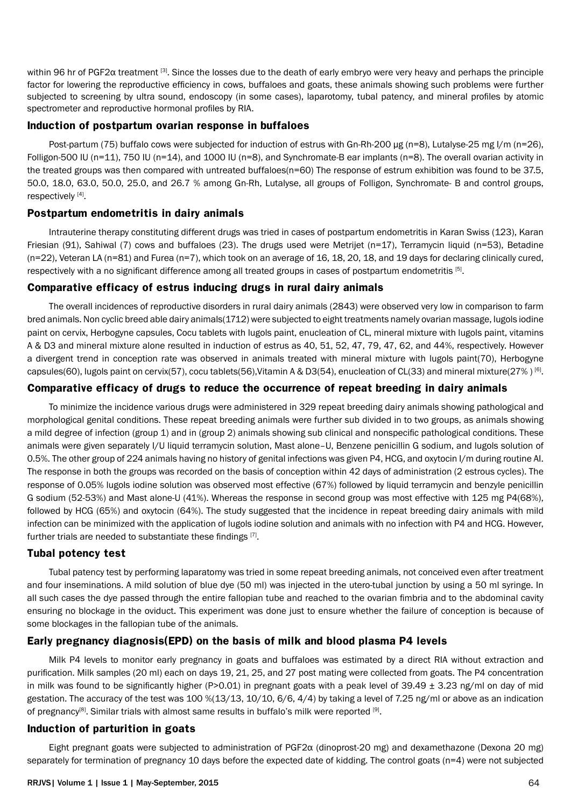within 96 hr of PGF2α treatment [3]. Since the losses due to the death of early embryo were very heavy and perhaps the principle factor for lowering the reproductive efficiency in cows, buffaloes and goats, these animals showing such problems were further subjected to screening by ultra sound, endoscopy (in some cases), laparotomy, tubal patency, and mineral profiles by atomic spectrometer and reproductive hormonal profiles by RIA.

#### **Induction of postpartum ovarian response in buffaloes**

Post-partum (75) buffalo cows were subjected for induction of estrus with Gn-Rh-200 µg (n=8), Lutalyse-25 mg I/m (n=26), Folligon-500 IU (n=11), 750 IU (n=14), and 1000 IU (n=8), and Synchromate-B ear implants (n=8). The overall ovarian activity in the treated groups was then compared with untreated buffaloes(n=60) The response of estrum exhibition was found to be 37.5, 50.0, 18.0, 63.0, 50.0, 25.0, and 26.7 % among Gn-Rh, Lutalyse, all groups of Folligon, Synchromate- B and control groups, respectively [4].

#### **Postpartum endometritis in dairy animals**

Intrauterine therapy constituting different drugs was tried in cases of postpartum endometritis in Karan Swiss (123), Karan Friesian (91), Sahiwal (7) cows and buffaloes (23). The drugs used were Metrijet (n=17), Terramycin liquid (n=53), Betadine (n=22), Veteran LA (n=81) and Furea (n=7), which took on an average of 16, 18, 20, 18, and 19 days for declaring clinically cured, respectively with a no significant difference among all treated groups in cases of postpartum endometritis [5].

#### **Comparative efficacy of estrus inducing drugs in rural dairy animals**

The overall incidences of reproductive disorders in rural dairy animals (2843) were observed very low in comparison to farm bred animals. Non cyclic breed able dairy animals(1712) were subjected to eight treatments namely ovarian massage, lugols iodine paint on cervix, Herbogyne capsules, Cocu tablets with lugols paint, enucleation of CL, mineral mixture with lugols paint, vitamins A & D3 and mineral mixture alone resulted in induction of estrus as 40, 51, 52, 47, 79, 47, 62, and 44%, respectively. However a divergent trend in conception rate was observed in animals treated with mineral mixture with lugols paint(70), Herbogyne capsules(60), lugols paint on cervix(57), cocu tablets(56), Vitamin A & D3(54), enucleation of CL(33) and mineral mixture(27%) [6].

#### **Comparative efficacy of drugs to reduce the occurrence of repeat breeding in dairy animals**

To minimize the incidence various drugs were administered in 329 repeat breeding dairy animals showing pathological and morphological genital conditions. These repeat breeding animals were further sub divided in to two groups, as animals showing a mild degree of infection (group 1) and in (group 2) animals showing sub clinical and nonspecific pathological conditions. These animals were given separately I/U liquid terramycin solution, Mast alone–U, Benzene penicillin G sodium, and lugols solution of 0.5%. The other group of 224 animals having no history of genital infections was given P4, HCG, and oxytocin I/m during routine AI. The response in both the groups was recorded on the basis of conception within 42 days of administration (2 estrous cycles). The response of 0.05% lugols iodine solution was observed most effective (67%) followed by liquid terramycin and benzyle penicillin G sodium (52-53%) and Mast alone-U (41%). Whereas the response in second group was most effective with 125 mg P4(68%), followed by HCG (65%) and oxytocin (64%). The study suggested that the incidence in repeat breeding dairy animals with mild infection can be minimized with the application of lugols iodine solution and animals with no infection with P4 and HCG. However, further trials are needed to substantiate these findings [7].

#### **Tubal potency test**

Tubal patency test by performing laparatomy was tried in some repeat breeding animals, not conceived even after treatment and four inseminations. A mild solution of blue dye (50 ml) was injected in the utero-tubal junction by using a 50 ml syringe. In all such cases the dye passed through the entire fallopian tube and reached to the ovarian fimbria and to the abdominal cavity ensuring no blockage in the oviduct. This experiment was done just to ensure whether the failure of conception is because of some blockages in the fallopian tube of the animals.

## **Early pregnancy diagnosis(EPD) on the basis of milk and blood plasma P4 levels**

Milk P4 levels to monitor early pregnancy in goats and buffaloes was estimated by a direct RIA without extraction and purification. Milk samples (20 ml) each on days 19, 21, 25, and 27 post mating were collected from goats. The P4 concentration in milk was found to be significantly higher (P>0.01) in pregnant goats with a peak level of 39.49  $\pm$  3.23 ng/ml on day of mid gestation. The accuracy of the test was 100 %(13/13, 10/10, 6/6, 4/4) by taking a level of 7.25 ng/ml or above as an indication of pregnancy<sup>[8]</sup>. Similar trials with almost same results in buffalo's milk were reported [9].

#### **Induction of parturition in goats**

Eight pregnant goats were subjected to administration of PGF2α (dinoprost-20 mg) and dexamethazone (Dexona 20 mg) separately for termination of pregnancy 10 days before the expected date of kidding. The control goats (n=4) were not subjected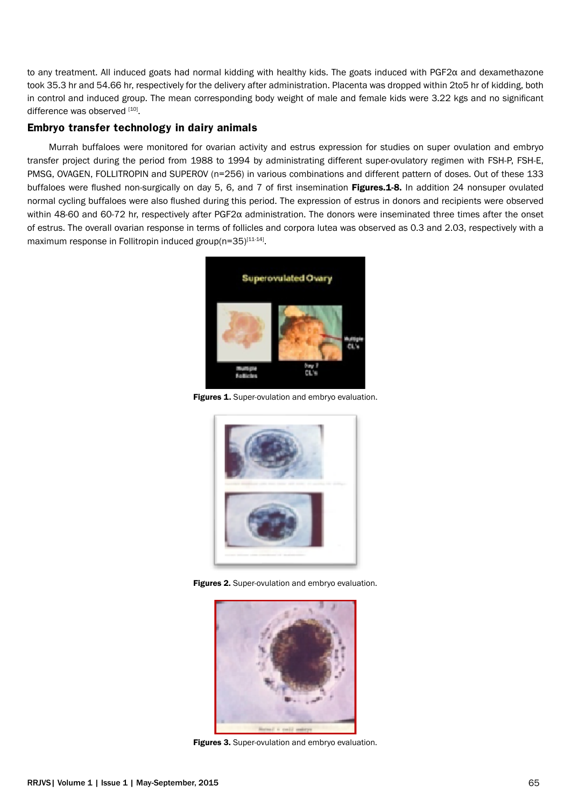to any treatment. All induced goats had normal kidding with healthy kids. The goats induced with PGF2α and dexamethazone took 35.3 hr and 54.66 hr, respectively for the delivery after administration. Placenta was dropped within 2to5 hr of kidding, both in control and induced group. The mean corresponding body weight of male and female kids were 3.22 kgs and no significant difference was observed [10].

#### **Embryo transfer technology in dairy animals**

Murrah buffaloes were monitored for ovarian activity and estrus expression for studies on super ovulation and embryo transfer project during the period from 1988 to 1994 by administrating different super-ovulatory regimen with FSH-P, FSH-E, PMSG, OVAGEN, FOLLITROPIN and SUPEROV (n=256) in various combinations and different pattern of doses. Out of these 133 buffaloes were flushed non-surgically on day 5, 6, and 7 of first insemination Figures.1-8. In addition 24 nonsuper ovulated normal cycling buffaloes were also flushed during this period. The expression of estrus in donors and recipients were observed within 48-60 and 60-72 hr, respectively after PGF2α administration. The donors were inseminated three times after the onset of estrus. The overall ovarian response in terms of follicles and corpora lutea was observed as 0.3 and 2.03, respectively with a maximum response in Follitropin induced group(n=35)<sup>[11-14]</sup>.



Figures 1. Super-ovulation and embryo evaluation.



Figures 2. Super-ovulation and embryo evaluation.



Figures 3. Super-ovulation and embryo evaluation.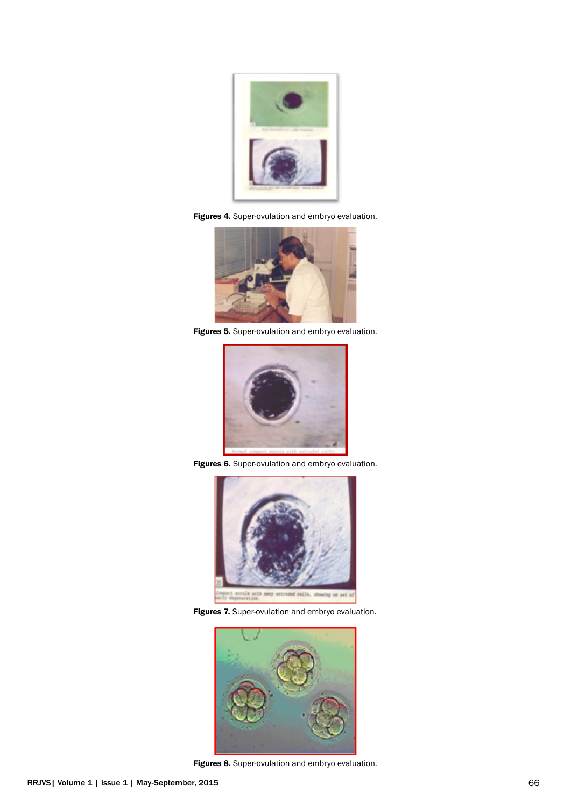

Figures 4. Super-ovulation and embryo evaluation.



Figures 5. Super-ovulation and embryo evaluation.



Figures 6. Super-ovulation and embryo evaluation.







Figures 8. Super-ovulation and embryo evaluation.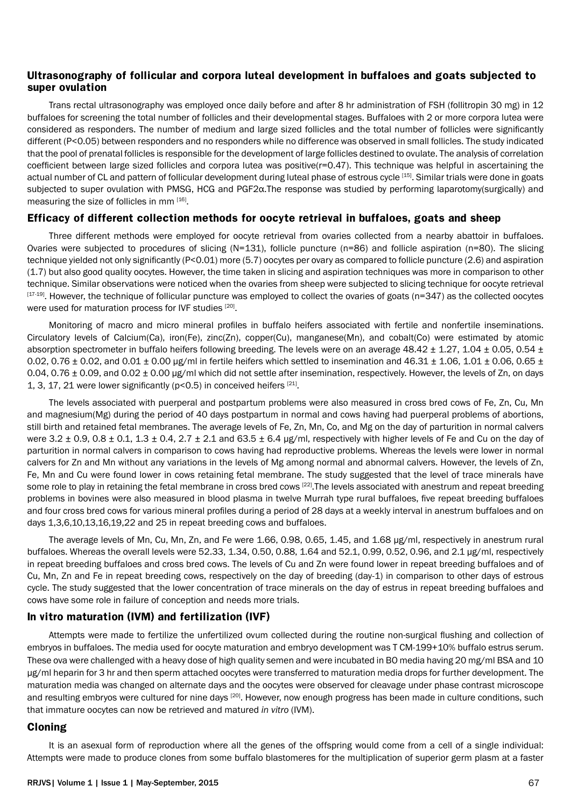#### **Ultrasonography of follicular and corpora luteal development in buffaloes and goats subjected to super ovulation**

Trans rectal ultrasonography was employed once daily before and after 8 hr administration of FSH (follitropin 30 mg) in 12 buffaloes for screening the total number of follicles and their developmental stages. Buffaloes with 2 or more corpora lutea were considered as responders. The number of medium and large sized follicles and the total number of follicles were significantly different (P<0.05) between responders and no responders while no difference was observed in small follicles. The study indicated that the pool of prenatal follicles is responsible for the development of large follicles destined to ovulate. The analysis of correlation coefficient between large sized follicles and corpora lutea was positive(r=0.47). This technique was helpful in ascertaining the actual number of CL and pattern of follicular development during luteal phase of estrous cycle [15]. Similar trials were done in goats subjected to super ovulation with PMSG, HCG and PGF2α.The response was studied by performing laparotomy(surgically) and measuring the size of follicles in mm [16].

#### **Efficacy of different collection methods for oocyte retrieval in buffaloes, goats and sheep**

Three different methods were employed for oocyte retrieval from ovaries collected from a nearby abattoir in buffaloes. Ovaries were subjected to procedures of slicing  $(N=131)$ , follicle puncture  $(n=86)$  and follicle aspiration  $(n=80)$ . The slicing technique yielded not only significantly (P<0.01) more (5.7) oocytes per ovary as compared to follicle puncture (2.6) and aspiration (1.7) but also good quality oocytes. However, the time taken in slicing and aspiration techniques was more in comparison to other technique. Similar observations were noticed when the ovaries from sheep were subjected to slicing technique for oocyte retrieval  $[17-19]$ . However, the technique of follicular puncture was employed to collect the ovaries of goats (n=347) as the collected oocytes were used for maturation process for IVF studies [20].

Monitoring of macro and micro mineral profiles in buffalo heifers associated with fertile and nonfertile inseminations. Circulatory levels of Calcium(Ca), iron(Fe), zinc(Zn), copper(Cu), manganese(Mn), and cobalt(Co) were estimated by atomic absorption spectrometer in buffalo heifers following breeding. The levels were on an average  $48.42 \pm 1.27$ ,  $1.04 \pm 0.05$ , 0.54  $\pm$ 0.02, 0.76  $\pm$  0.02, and 0.01  $\pm$  0.00 µg/ml in fertile heifers which settled to insemination and 46.31  $\pm$  1.06, 1.01  $\pm$  0.06, 0.65  $\pm$ 0.04, 0.76 ± 0.09, and 0.02 ± 0.00 µg/ml which did not settle after insemination, respectively. However, the levels of Zn, on days 1, 3, 17, 21 were lower significantly ( $p<0.5$ ) in conceived heifers [21].

The levels associated with puerperal and postpartum problems were also measured in cross bred cows of Fe, Zn, Cu, Mn and magnesium(Mg) during the period of 40 days postpartum in normal and cows having had puerperal problems of abortions, still birth and retained fetal membranes. The average levels of Fe, Zn, Mn, Co, and Mg on the day of parturition in normal calvers were  $3.2 \pm 0.9$ ,  $0.8 \pm 0.1$ ,  $1.3 \pm 0.4$ ,  $2.7 \pm 2.1$  and  $63.5 \pm 6.4$  µg/ml, respectively with higher levels of Fe and Cu on the day of parturition in normal calvers in comparison to cows having had reproductive problems. Whereas the levels were lower in normal calvers for Zn and Mn without any variations in the levels of Mg among normal and abnormal calvers. However, the levels of Zn, Fe, Mn and Cu were found lower in cows retaining fetal membrane. The study suggested that the level of trace minerals have some role to play in retaining the fetal membrane in cross bred cows [22]. The levels associated with anestrum and repeat breeding problems in bovines were also measured in blood plasma in twelve Murrah type rural buffaloes, five repeat breeding buffaloes and four cross bred cows for various mineral profiles during a period of 28 days at a weekly interval in anestrum buffaloes and on days 1,3,6,10,13,16,19,22 and 25 in repeat breeding cows and buffaloes.

The average levels of Mn, Cu, Mn, Zn, and Fe were 1.66, 0.98, 0.65, 1.45, and 1.68 µg/ml, respectively in anestrum rural buffaloes. Whereas the overall levels were 52.33, 1.34, 0.50, 0.88, 1.64 and 52.1, 0.99, 0.52, 0.96, and 2.1 µg/ml, respectively in repeat breeding buffaloes and cross bred cows. The levels of Cu and Zn were found lower in repeat breeding buffaloes and of Cu, Mn, Zn and Fe in repeat breeding cows, respectively on the day of breeding (day-1) in comparison to other days of estrous cycle. The study suggested that the lower concentration of trace minerals on the day of estrus in repeat breeding buffaloes and cows have some role in failure of conception and needs more trials.

## **In vitro maturation (IVM) and fertilization (IVF)**

Attempts were made to fertilize the unfertilized ovum collected during the routine non-surgical flushing and collection of embryos in buffaloes. The media used for oocyte maturation and embryo development was T CM-199+10% buffalo estrus serum. These ova were challenged with a heavy dose of high quality semen and were incubated in BO media having 20 mg/ml BSA and 10 µg/ml heparin for 3 hr and then sperm attached oocytes were transferred to maturation media drops for further development. The maturation media was changed on alternate days and the oocytes were observed for cleavage under phase contrast microscope and resulting embryos were cultured for nine days [20]. However, now enough progress has been made in culture conditions, such that immature oocytes can now be retrieved and matured *in vitro* (IVM).

#### **Cloning**

It is an asexual form of reproduction where all the genes of the offspring would come from a cell of a single individual: Attempts were made to produce clones from some buffalo blastomeres for the multiplication of superior germ plasm at a faster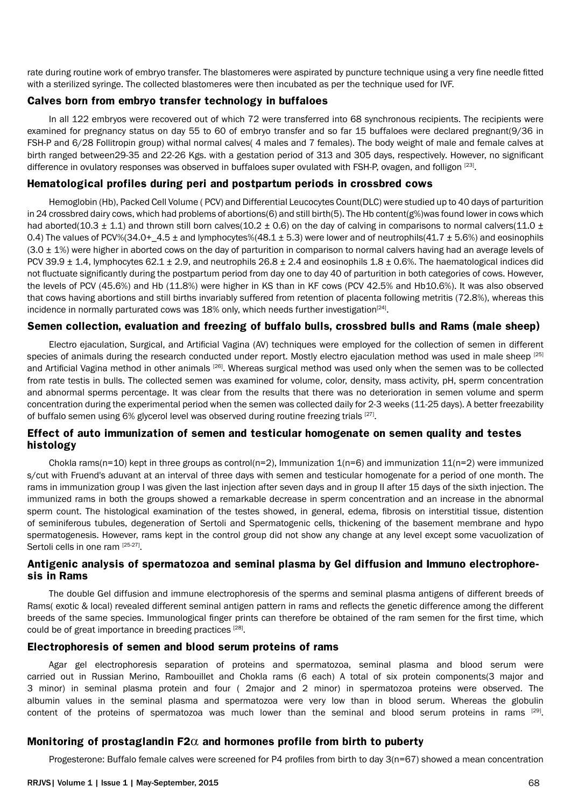rate during routine work of embryo transfer. The blastomeres were aspirated by puncture technique using a very fine needle fitted with a sterilized syringe. The collected blastomeres were then incubated as per the technique used for IVF.

#### **Calves born from embryo transfer technology in buffaloes**

In all 122 embryos were recovered out of which 72 were transferred into 68 synchronous recipients. The recipients were examined for pregnancy status on day 55 to 60 of embryo transfer and so far 15 buffaloes were declared pregnant(9/36 in FSH-P and 6/28 Follitropin group) withal normal calves( 4 males and 7 females). The body weight of male and female calves at birth ranged between29-35 and 22-26 Kgs. with a gestation period of 313 and 305 days, respectively. However, no significant difference in ovulatory responses was observed in buffaloes super ovulated with FSH-P, ovagen, and folligon [23].

#### **Hematological profiles during peri and postpartum periods in crossbred cows**

Hemoglobin (Hb), Packed Cell Volume ( PCV) and Differential Leucocytes Count(DLC) were studied up to 40 days of parturition in 24 crossbred dairy cows, which had problems of abortions(6) and still birth(5). The Hb content( $g$ %)was found lower in cows which had aborted(10.3  $\pm$  1.1) and thrown still born calves(10.2  $\pm$  0.6) on the day of calving in comparisons to normal calvers(11.0  $\pm$ 0.4) The values of PCV%(34.0+  $4.5 \pm$  and lymphocytes%(48.1  $\pm$  5.3) were lower and of neutrophils(41.7  $\pm$  5.6%) and eosinophils  $(3.0 \pm 1%)$  were higher in aborted cows on the day of parturition in comparison to normal calvers having had an average levels of PCV 39.9  $\pm$  1.4, lymphocytes 62.1  $\pm$  2.9, and neutrophils 26.8  $\pm$  2.4 and eosinophils 1.8  $\pm$  0.6%. The haematological indices did not fluctuate significantly during the postpartum period from day one to day 40 of parturition in both categories of cows. However, the levels of PCV (45.6%) and Hb (11.8%) were higher in KS than in KF cows (PCV 42.5% and Hb10.6%). It was also observed that cows having abortions and still births invariably suffered from retention of placenta following metritis (72.8%), whereas this incidence in normally parturated cows was 18% only, which needs further investigation<sup>[24]</sup>.

#### **Semen collection, evaluation and freezing of buffalo bulls, crossbred bulls and Rams (male sheep)**

Electro ejaculation, Surgical, and Artificial Vagina (AV) techniques were employed for the collection of semen in different species of animals during the research conducted under report. Mostly electro ejaculation method was used in male sheep [25] and Artificial Vagina method in other animals [26]. Whereas surgical method was used only when the semen was to be collected from rate testis in bulls. The collected semen was examined for volume, color, density, mass activity, pH, sperm concentration and abnormal sperms percentage. It was clear from the results that there was no deterioration in semen volume and sperm concentration during the experimental period when the semen was collected daily for 2-3 weeks (11-25 days). A better freezability of buffalo semen using 6% glycerol level was observed during routine freezing trials [27].

## **Effect of auto immunization of semen and testicular homogenate on semen quality and testes histology**

Chokla rams(n=10) kept in three groups as control(n=2), Immunization  $1(n=6)$  and immunization  $11(n=2)$  were immunized s/cut with Fruend's aduvant at an interval of three days with semen and testicular homogenate for a period of one month. The rams in immunization group I was given the last injection after seven days and in group II after 15 days of the sixth injection. The immunized rams in both the groups showed a remarkable decrease in sperm concentration and an increase in the abnormal sperm count. The histological examination of the testes showed, in general, edema, fibrosis on interstitial tissue, distention of seminiferous tubules, degeneration of Sertoli and Spermatogenic cells, thickening of the basement membrane and hypo spermatogenesis. However, rams kept in the control group did not show any change at any level except some vacuolization of Sertoli cells in one ram [25-27].

#### **Antigenic analysis of spermatozoa and seminal plasma by Gel diffusion and Immuno electrophoresis in Rams**

The double Gel diffusion and immune electrophoresis of the sperms and seminal plasma antigens of different breeds of Rams( exotic & local) revealed different seminal antigen pattern in rams and reflects the genetic difference among the different breeds of the same species. Immunological finger prints can therefore be obtained of the ram semen for the first time, which could be of great importance in breeding practices [28].

#### **Electrophoresis of semen and blood serum proteins of rams**

Agar gel electrophoresis separation of proteins and spermatozoa, seminal plasma and blood serum were carried out in Russian Merino, Rambouillet and Chokla rams (6 each) A total of six protein components(3 major and 3 minor) in seminal plasma protein and four ( 2major and 2 minor) in spermatozoa proteins were observed. The albumin values in the seminal plasma and spermatozoa were very low than in blood serum. Whereas the globulin content of the proteins of spermatozoa was much lower than the seminal and blood serum proteins in rams <sup>[29]</sup>.

#### **Monitoring of prostaglandin F2**α **and hormones profile from birth to puberty**

Progesterone: Buffalo female calves were screened for P4 profiles from birth to day 3(n=67) showed a mean concentration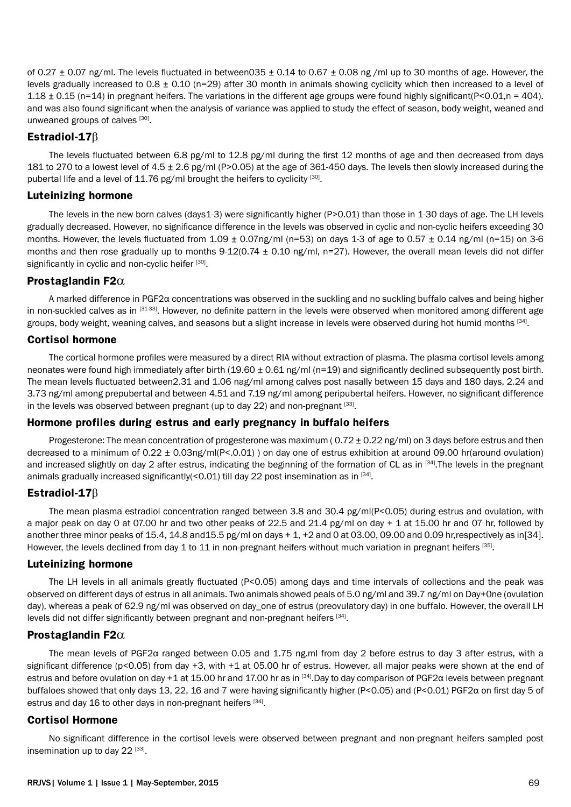of 0.27  $\pm$  0.07 ng/ml. The levels fluctuated in between035  $\pm$  0.14 to 0.67  $\pm$  0.08 ng/ml up to 30 months of age. However, the levels gradually increased to 0.8 ± 0.10 (n=29) after 30 month in animals showing cyclicity which then increased to a level of 1.18  $\pm$  0.15 (n=14) in pregnant heifers. The variations in the different age groups were found highly significant(P<0.01,n = 404). and was also found significant when the analysis of variance was applied to study the effect of season, body weight, weaned and unweaned groups of calves [30].

## **Estradiol-17**β

The levels fluctuated between 6.8 pg/ml to 12.8 pg/ml during the first 12 months of age and then decreased from days 181 to 270 to a lowest level of 4.5 ± 2.6 pg/ml (P>0.05) at the age of 361-450 days. The levels then slowly increased during the pubertal life and a level of 11.76 pg/ml brought the heifers to cyclicity [30].

#### **Luteinizing hormone**

The levels in the new born calves (days1-3) were significantly higher (P>0.01) than those in 1-30 days of age. The LH levels gradually decreased. However, no significance difference in the levels was observed in cyclic and non-cyclic heifers exceeding 30 months. However, the levels fluctuated from  $1.09 \pm 0.07$  ng/ml (n=53) on days 1-3 of age to 0.57  $\pm$  0.14 ng/ml (n=15) on 3-6 months and then rose gradually up to months  $9-12(0.74 \pm 0.10$  ng/ml, n=27). However, the overall mean levels did not differ significantly in cyclic and non-cyclic heifer [30].

#### **Prostaglandin F2**α

A marked difference in PGF2α concentrations was observed in the suckling and no suckling buffalo calves and being higher in non-suckled calves as in [31-33]. However, no definite pattern in the levels were observed when monitored among different age groups, body weight, weaning calves, and seasons but a slight increase in levels were observed during hot humid months [34].

## **Cortisol hormone**

The cortical hormone profiles were measured by a direct RIA without extraction of plasma. The plasma cortisol levels among neonates were found high immediately after birth  $(19.60 \pm 0.61 \text{ ng/ml}$  (n=19) and significantly declined subsequently post birth. The mean levels fluctuated between2.31 and 1.06 nag/ml among calves post nasally between 15 days and 180 days, 2.24 and 3.73 ng/ml among prepubertal and between 4.51 and 7.19 ng/ml among peripubertal heifers. However, no significant difference in the levels was observed between pregnant (up to day 22) and non-pregnant  $[33]$ .

## **Hormone profiles during estrus and early pregnancy in buffalo heifers**

Progesterone: The mean concentration of progesterone was maximum ( $0.72 \pm 0.22$  ng/ml) on 3 days before estrus and then decreased to a minimum of 0.22  $\pm$  0.03ng/ml(P<.0.01) ) on day one of estrus exhibition at around 09.00 hr(around ovulation) and increased slightly on day 2 after estrus, indicating the beginning of the formation of CL as in [34]. The levels in the pregnant animals gradually increased significantly(<0.01) till day 22 post insemination as in  $[34]$ .

## **Estradiol-17**β

The mean plasma estradiol concentration ranged between 3.8 and 30.4 pg/ml(P<0.05) during estrus and ovulation, with a major peak on day 0 at 07.00 hr and two other peaks of 22.5 and 21.4 pg/ml on day + 1 at 15.00 hr and 07 hr, followed by another three minor peaks of 15.4, 14.8 and15.5 pg/ml on days + 1, +2 and 0 at 03.00, 09.00 and 0.09 hr,respectively as in[34]. However, the levels declined from day 1 to 11 in non-pregnant heifers without much variation in pregnant heifers [35].

## **Luteinizing hormone**

The LH levels in all animals greatly fluctuated (P<0.05) among days and time intervals of collections and the peak was observed on different days of estrus in all animals. Two animals showed peals of 5.0 ng/ml and 39.7 ng/ml on Day+0ne (ovulation day), whereas a peak of 62.9 ng/ml was observed on day one of estrus (preovulatory day) in one buffalo. However, the overall LH levels did not differ significantly between pregnant and non-pregnant heifers [34].

## **Prostaglandin F2**α

The mean levels of PGF2α ranged between 0.05 and 1.75 ng.ml from day 2 before estrus to day 3 after estrus, with a significant difference ( $p$ <0.05) from day +3, with +1 at 05.00 hr of estrus. However, all major peaks were shown at the end of estrus and before ovulation on day +1 at 15.00 hr and 17.00 hr as in [34].Day to day comparison of PGF2α levels between pregnant buffaloes showed that only days 13, 22, 16 and 7 were having significantly higher (P<0.05) and (P<0.01) PGF2α on first day 5 of estrus and day 16 to other days in non-pregnant heifers [34].

#### **Cortisol Hormone**

No significant difference in the cortisol levels were observed between pregnant and non-pregnant heifers sampled post insemination up to day  $22^{[33]}$ .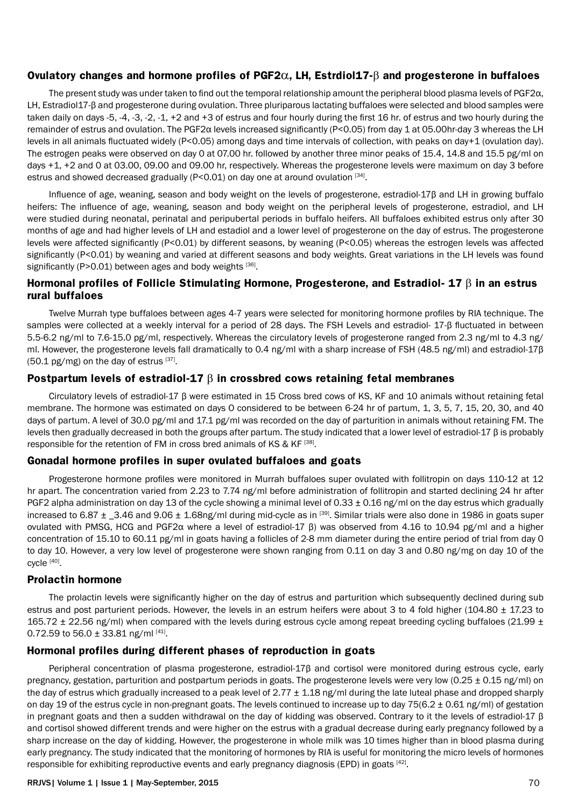#### **Ovulatory changes and hormone profiles of PGF2**α**, LH, Estrdiol17-**β **and progesterone in buffaloes**

The present study was under taken to find out the temporal relationship amount the peripheral blood plasma levels of PGF2 $\alpha$ , LH, Estradiol17-β and progesterone during ovulation. Three pluriparous lactating buffaloes were selected and blood samples were taken daily on days -5, -4, -3, -2, -1, +2 and +3 of estrus and four hourly during the first 16 hr. of estrus and two hourly during the remainder of estrus and ovulation. The PGF2α levels increased significantly (P<0.05) from day 1 at 05.00hr-day 3 whereas the LH levels in all animals fluctuated widely (P<0.05) among days and time intervals of collection, with peaks on day+1 (ovulation day). The estrogen peaks were observed on day 0 at 07.00 hr. followed by another three minor peaks of 15.4, 14.8 and 15.5 pg/ml on days +1, +2 and 0 at 03.00, 09.00 and 09.00 hr, respectively. Whereas the progesterone levels were maximum on day 3 before estrus and showed decreased gradually ( $P < 0.01$ ) on day one at around ovulation  $^{[34]}$ .

Influence of age, weaning, season and body weight on the levels of progesterone, estradiol-17β and LH in growing buffalo heifers: The influence of age, weaning, season and body weight on the peripheral levels of progesterone, estradiol, and LH were studied during neonatal, perinatal and peripubertal periods in buffalo heifers. All buffaloes exhibited estrus only after 30 months of age and had higher levels of LH and estadiol and a lower level of progesterone on the day of estrus. The progesterone levels were affected significantly (P<0.01) by different seasons, by weaning (P<0.05) whereas the estrogen levels was affected significantly (P<0.01) by weaning and varied at different seasons and body weights. Great variations in the LH levels was found significantly (P>0.01) between ages and body weights  $[36]$ .

#### **Hormonal profiles of Follicle Stimulating Hormone, Progesterone, and Estradiol- 17** β **in an estrus rural buffaloes**

Twelve Murrah type buffaloes between ages 4-7 years were selected for monitoring hormone profiles by RIA technique. The samples were collected at a weekly interval for a period of 28 days. The FSH Levels and estradiol- 17-β fluctuated in between 5.5-6.2 ng/ml to 7.6-15.0 pg/ml, respectively. Whereas the circulatory levels of progesterone ranged from 2.3 ng/ml to 4.3 ng/ ml. However, the progesterone levels fall dramatically to 0.4 ng/ml with a sharp increase of FSH (48.5 ng/ml) and estradiol-17β  $(50.1 \text{ pg/mg})$  on the day of estrus  $^{[37]}$ .

#### **Postpartum levels of estradiol-17** β **in crossbred cows retaining fetal membranes**

Circulatory levels of estradiol-17 β were estimated in 15 Cross bred cows of KS, KF and 10 animals without retaining fetal membrane. The hormone was estimated on days O considered to be between 6-24 hr of partum, 1, 3, 5, 7, 15, 20, 30, and 40 days of partum. A level of 30.0 pg/ml and 17.1 pg/ml was recorded on the day of parturition in animals without retaining FM. The levels then gradually decreased in both the groups after partum. The study indicated that a lower level of estradiol-17 β is probably responsible for the retention of FM in cross bred animals of KS & KF [38].

#### **Gonadal hormone profiles in super ovulated buffaloes and goats**

Progesterone hormone profiles were monitored in Murrah buffaloes super ovulated with follitropin on days 110-12 at 12 hr apart. The concentration varied from 2.23 to 7.74 ng/ml before administration of follitropin and started declining 24 hr after PGF2 alpha administration on day 13 of the cycle showing a minimal level of 0.33  $\pm$  0.16 ng/ml on the day estrus which gradually increased to 6.87  $\pm$  \_3.46 and 9.06  $\pm$  1.68ng/ml during mid-cycle as in  $^{[39]}$ . Similar trials were also done in 1986 in goats super ovulated with PMSG, HCG and PGF2α where a level of estradiol-17 β) was observed from 4.16 to 10.94 pg/ml and a higher concentration of 15.10 to 60.11 pg/ml in goats having a follicles of 2-8 mm diameter during the entire period of trial from day 0 to day 10. However, a very low level of progesterone were shown ranging from 0.11 on day 3 and 0.80 ng/mg on day 10 of the cycle [40].

#### **Prolactin hormone**

The prolactin levels were significantly higher on the day of estrus and parturition which subsequently declined during sub estrus and post parturient periods. However, the levels in an estrum heifers were about 3 to 4 fold higher (104.80  $\pm$  17.23 to 165.72  $\pm$  22.56 ng/ml) when compared with the levels during estrous cycle among repeat breeding cycling buffaloes (21.99  $\pm$ 0.72.59 to  $56.0 \pm 33.81$  ng/ml [41].

#### **Hormonal profiles during different phases of reproduction in goats**

Peripheral concentration of plasma progesterone, estradiol-17β and cortisol were monitored during estrous cycle, early pregnancy, gestation, parturition and postpartum periods in goats. The progesterone levels were very low (0.25 ± 0.15 ng/ml) on the day of estrus which gradually increased to a peak level of  $2.77 \pm 1.18$  ng/ml during the late luteal phase and dropped sharply on day 19 of the estrus cycle in non-pregnant goats. The levels continued to increase up to day  $75(6.2 \pm 0.61 \text{ ng/ml})$  of gestation in pregnant goats and then a sudden withdrawal on the day of kidding was observed. Contrary to it the levels of estradiol-17 β and cortisol showed different trends and were higher on the estrus with a gradual decrease during early pregnancy followed by a sharp increase on the day of kidding. However, the progesterone in whole milk was 10 times higher than in blood plasma during early pregnancy. The study indicated that the monitoring of hormones by RIA is useful for monitoring the micro levels of hormones responsible for exhibiting reproductive events and early pregnancy diagnosis (EPD) in goats [42].

#### RRJVS| Volume 1 | Issue 1 | May-September, 2015 70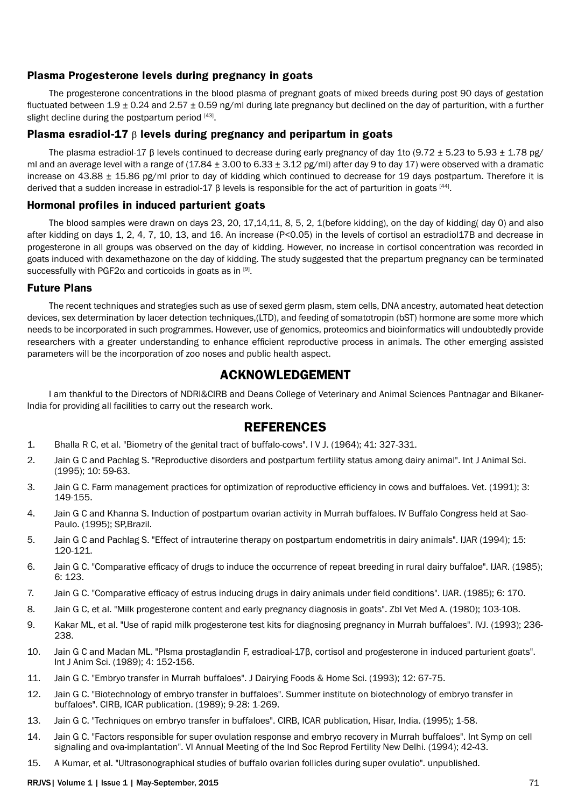## **Plasma Progesterone levels during pregnancy in goats**

The progesterone concentrations in the blood plasma of pregnant goats of mixed breeds during post 90 days of gestation fluctuated between 1.9  $\pm$  0.24 and 2.57  $\pm$  0.59 ng/ml during late pregnancy but declined on the day of parturition, with a further slight decline during the postpartum period [43].

#### **Plasma esradiol-17** β **levels during pregnancy and peripartum in goats**

The plasma estradiol-17 β levels continued to decrease during early pregnancy of day 1to (9.72 ± 5.23 to 5.93 ± 1.78 pg/ ml and an average level with a range of  $(17.84 \pm 3.00 \text{ to } 6.33 \pm 3.12 \text{ pg/ml})$  after day 9 to day 17) were observed with a dramatic increase on 43.88  $\pm$  15.86 pg/ml prior to day of kidding which continued to decrease for 19 days postpartum. Therefore it is derived that a sudden increase in estradiol-17 β levels is responsible for the act of parturition in goats [44].

#### **Hormonal profiles in induced parturient goats**

The blood samples were drawn on days 23, 20, 17,14,11, 8, 5, 2, 1(before kidding), on the day of kidding( day 0) and also after kidding on days 1, 2, 4, 7, 10, 13, and 16. An increase (P<0.05) in the levels of cortisol an estradiol17B and decrease in progesterone in all groups was observed on the day of kidding. However, no increase in cortisol concentration was recorded in goats induced with dexamethazone on the day of kidding. The study suggested that the prepartum pregnancy can be terminated successfully with PGF2 $\alpha$  and corticoids in goats as in [9].

#### **Future Plans**

The recent techniques and strategies such as use of sexed germ plasm, stem cells, DNA ancestry, automated heat detection devices, sex determination by lacer detection techniques,(LTD), and feeding of somatotropin (bST) hormone are some more which needs to be incorporated in such programmes. However, use of genomics, proteomics and bioinformatics will undoubtedly provide researchers with a greater understanding to enhance efficient reproductive process in animals. The other emerging assisted parameters will be the incorporation of zoo noses and public health aspect.

# **ACKNOWLEDGEMENT**

I am thankful to the Directors of NDRI&CIRB and Deans College of Veterinary and Animal Sciences Pantnagar and Bikaner-India for providing all facilities to carry out the research work.

## **REFERENCES**

- 1. Bhalla R C, et al. "Biometry of the genital tract of buffalo-cows". I V J. (1964); 41: 327-331.
- 2. Jain G C and Pachlag S. "Reproductive disorders and postpartum fertility status among dairy animal". Int J Animal Sci. (1995); 10: 59-63.
- 3. Jain G C. Farm management practices for optimization of reproductive efficiency in cows and buffaloes. Vet. (1991); 3: 149-155.
- 4. Jain G C and Khanna S. Induction of postpartum ovarian activity in Murrah buffaloes. IV Buffalo Congress held at Sao-Paulo. (1995); SP,Brazil.
- 5. Jain G C and Pachlag S. "Effect of intrauterine therapy on postpartum endometritis in dairy animals". IJAR (1994); 15: 120-121.
- 6. Jain G C. "Comparative efficacy of drugs to induce the occurrence of repeat breeding in rural dairy buffaloe". IJAR. (1985); 6: 123.
- 7. Jain G C. "Comparative efficacy of estrus inducing drugs in dairy animals under field conditions". IJAR. (1985); 6: 170.
- 8. Jain G C, et al. "Milk progesterone content and early pregnancy diagnosis in goats". Zbl Vet Med A. (1980); 103-108.
- 9. Kakar ML, et al. "Use of rapid milk progesterone test kits for diagnosing pregnancy in Murrah buffaloes". IVJ. (1993); 236- 238.
- 10. Jain G C and Madan ML. "Plsma prostaglandin F, estradioal-17β, cortisol and progesterone in induced parturient goats". Int J Anim Sci. (1989); 4: 152-156.
- 11. Jain G C. "Embryo transfer in Murrah buffaloes". J Dairying Foods & Home Sci. (1993); 12: 67-75.
- 12. Jain G C. "Biotechnology of embryo transfer in buffaloes". Summer institute on biotechnology of embryo transfer in buffaloes". CIRB, ICAR publication. (1989); 9-28: 1-269.
- 13. Jain G C. "Techniques on embryo transfer in buffaloes". CIRB, ICAR publication, Hisar, India. (1995); 1-58.
- 14. Jain G C. "Factors responsible for super ovulation response and embryo recovery in Murrah buffaloes". Int Symp on cell signaling and ova-implantation". VI Annual Meeting of the Ind Soc Reprod Fertility New Delhi. (1994); 42-43.
- 15. A Kumar, et al. "Ultrasonographical studies of buffalo ovarian follicles during super ovulatio". unpublished.

#### RRJVS| Volume 1 | Issue 1 | May-September, 2015 71